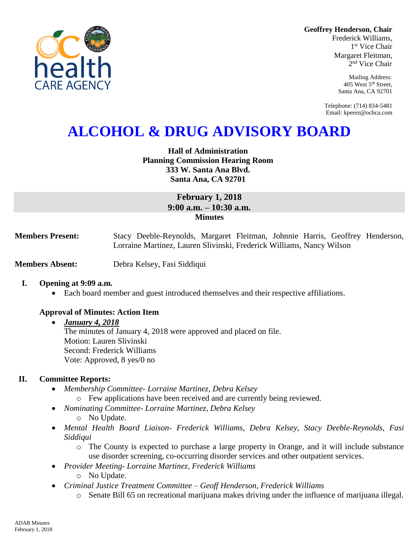**Geoffrey Henderson, Chair**

Frederick Williams, 1 st Vice Chair Margaret Fleitman, 2 nd Vice Chair

> Mailing Address: 405 West 5th Street, Santa Ana, CA 92701

Telephone: (714) 834-5481 Email: kperez@ochca.com

# **ALCOHOL & DRUG ADVISORY BOARD**

# **Hall of Administration Planning Commission Hearing Room 333 W. Santa Ana Blvd. Santa Ana, CA 92701**

# **February 1, 2018 9:00 a.m. – 10:30 a.m. Minutes**

**Members Present:** Stacy Deeble-Reynolds, Margaret Fleitman, Johnnie Harris, Geoffrey Henderson, Lorraine Martinez, Lauren Slivinski, Frederick Williams, Nancy Wilson

**Members Absent:** Debra Kelsey, Fasi Siddiqui

# **I. Opening at 9:09 a.m.**

Each board member and guest introduced themselves and their respective affiliations.

# **Approval of Minutes: Action Item**

#### *January 4, 2018*

The minutes of January 4, 2018 were approved and placed on file. Motion: Lauren Slivinski Second: Frederick Williams Vote: Approved, 8 yes/0 no

# **II. Committee Reports:**

- *Membership Committee- Lorraine Martinez, Debra Kelsey* 
	- o Few applications have been received and are currently being reviewed.
- *Nominating Committee- Lorraine Martinez, Debra Kelsey*
	- o No Update.
- *Mental Health Board Liaison- Frederick Williams, Debra Kelsey, Stacy Deeble-Reynolds, Fasi Siddiqui*
	- o The County is expected to purchase a large property in Orange, and it will include substance use disorder screening, co-occurring disorder services and other outpatient services.
- *Provider Meeting- Lorraine Martinez, Frederick Williams*
	- o No Update.
- *Criminal Justice Treatment Committee – Geoff Henderson, Frederick Williams*
	- o Senate Bill 65 on recreational marijuana makes driving under the influence of marijuana illegal.

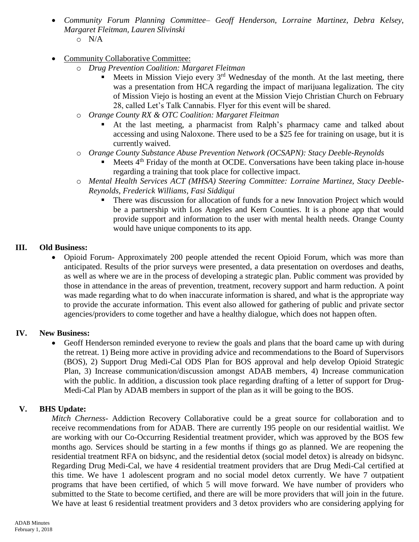- *Community Forum Planning Committee– Geoff Henderson, Lorraine Martinez, Debra Kelsey, Margaret Fleitman, Lauren Slivinski* o N/A
- Community Collaborative Committee:
	- o *Drug Prevention Coalition: Margaret Fleitman*
		- Meets in Mission Viejo every  $3<sup>rd</sup>$  Wednesday of the month. At the last meeting, there was a presentation from HCA regarding the impact of marijuana legalization. The city of Mission Viejo is hosting an event at the Mission Viejo Christian Church on February 28, called Let's Talk Cannabis. Flyer for this event will be shared.
	- o *Orange County RX & OTC Coalition: Margaret Fleitman*
		- At the last meeting, a pharmacist from Ralph's pharmacy came and talked about accessing and using Naloxone. There used to be a \$25 fee for training on usage, but it is currently waived.
	- o *Orange County Substance Abuse Prevention Network (OCSAPN): Stacy Deeble-Reynolds*
		- Meets  $4<sup>th</sup>$  Friday of the month at OCDE. Conversations have been taking place in-house regarding a training that took place for collective impact.
	- o *Mental Health Services ACT (MHSA) Steering Committee: Lorraine Martinez, Stacy Deeble-Reynolds, Frederick Williams, Fasi Siddiqui*
		- There was discussion for allocation of funds for a new Innovation Project which would be a partnership with Los Angeles and Kern Counties. It is a phone app that would provide support and information to the user with mental health needs. Orange County would have unique components to its app.

# **III. Old Business:**

• Opioid Forum- Approximately 200 people attended the recent Opioid Forum, which was more than anticipated. Results of the prior surveys were presented, a data presentation on overdoses and deaths, as well as where we are in the process of developing a strategic plan. Public comment was provided by those in attendance in the areas of prevention, treatment, recovery support and harm reduction. A point was made regarding what to do when inaccurate information is shared, and what is the appropriate way to provide the accurate information. This event also allowed for gathering of public and private sector agencies/providers to come together and have a healthy dialogue, which does not happen often.

# **IV. New Business:**

 Geoff Henderson reminded everyone to review the goals and plans that the board came up with during the retreat. 1) Being more active in providing advice and recommendations to the Board of Supervisors (BOS), 2) Support Drug Medi-Cal ODS Plan for BOS approval and help develop Opioid Strategic Plan, 3) Increase communication/discussion amongst ADAB members, 4) Increase communication with the public. In addition, a discussion took place regarding drafting of a letter of support for Drug-Medi-Cal Plan by ADAB members in support of the plan as it will be going to the BOS.

# **V. BHS Update:**

*Mitch Cherness-* Addiction Recovery Collaborative could be a great source for collaboration and to receive recommendations from for ADAB. There are currently 195 people on our residential waitlist. We are working with our Co-Occurring Residential treatment provider, which was approved by the BOS few months ago. Services should be starting in a few months if things go as planned. We are reopening the residential treatment RFA on bidsync, and the residential detox (social model detox) is already on bidsync. Regarding Drug Medi-Cal, we have 4 residential treatment providers that are Drug Medi-Cal certified at this time. We have 1 adolescent program and no social model detox currently. We have 7 outpatient programs that have been certified, of which 5 will move forward. We have number of providers who submitted to the State to become certified, and there are will be more providers that will join in the future. We have at least 6 residential treatment providers and 3 detox providers who are considering applying for